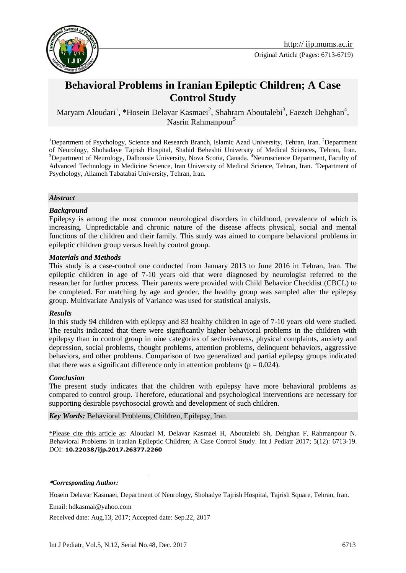

Original Article (Pages: 6713-6719)

# **Behavioral Problems in Iranian Epileptic Children; A Case Control Study**

Maryam Aloudari<sup>1</sup>, \*Hosein Delavar Kasmaei<sup>2</sup>, Shahram Aboutalebi<sup>3</sup>, Faezeh Dehghan<sup>4</sup>, Nasrin Rahmanpour<sup>5</sup>

<sup>1</sup>Department of Psychology, Science and Research Branch, Islamic Azad University, Tehran, Iran. <sup>2</sup>Department of Neurology, Shohadaye Tajrish Hospital, Shahid Beheshti University of Medical Sciences, Tehran, Iran. <sup>3</sup>Department of Neurology, Dalhousie University, Nova Scotia, Canada. <sup>4</sup>Neuroscience Department, Faculty of Advanced Technology in Medicine Science, Iran University of Medical Science, Tehran, Iran. <sup>5</sup>Department of Psychology, Allameh Tabatabai University, Tehran, Iran.

#### *Abstract*

#### *Background*

Epilepsy is among the most common neurological disorders in childhood, prevalence of which is increasing. Unpredictable and chronic nature of the disease affects physical, social and mental functions of the children and their family. This study was aimed to compare behavioral problems in epileptic children group versus healthy control group.

#### *Materials and Methods*

This study is a case-control one conducted from January 2013 to June 2016 in Tehran, Iran. The epileptic children in age of 7-10 years old that were diagnosed by neurologist referred to the researcher for further process. Their parents were provided with Child Behavior Checklist (CBCL) to be completed. For matching by age and gender, the healthy group was sampled after the epilepsy group. Multivariate Analysis of Variance was used for statistical analysis.

#### *Results*

In this study 94 children with epilepsy and 83 healthy children in age of 7-10 years old were studied. The results indicated that there were significantly higher behavioral problems in the children with epilepsy than in control group in nine categories of seclusiveness, physical complaints, anxiety and depression, social problems, thought problems, attention problems, delinquent behaviors, aggressive behaviors, and other problems. Comparison of two generalized and partial epilepsy groups indicated that there was a significant difference only in attention problems ( $p = 0.024$ ).

#### *Conclusion*

The present study indicates that the children with epilepsy have more behavioral problems as compared to control group. Therefore, educational and psychological interventions are necessary for supporting desirable psychosocial growth and development of such children.

*Key Words:* Behavioral Problems, Children, Epilepsy, Iran.

\*Please cite this article as: Aloudari M, Delavar Kasmaei H, Aboutalebi Sh, Dehghan F, Rahmanpour N. Behavioral Problems in Iranian Epileptic Children; A Case Control Study. Int J Pediatr 2017; 5(12): 6713-19. DOI: **10.22038/ijp.2017.26377.2260**

**\****Corresponding Author:*

<u>.</u>

Email: hdkasmai@yahoo.com

Received date: Aug.13, 2017; Accepted date: Sep.22, 2017

Hosein Delavar Kasmaei, Department of Neurology, Shohadye Tajrish Hospital, Tajrish Square, Tehran, Iran.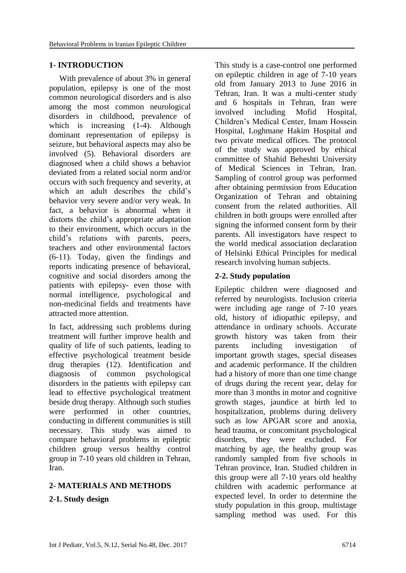### **1- INTRODUCTION**

 With prevalence of about 3% in general population, epilepsy is one of the most common neurological disorders and is also among the most common neurological disorders in childhood, prevalence of which is increasing [\(1-4\)](#page-5-0). Although dominant representation of epilepsy is seizure, but behavioral aspects may also be involved [\(5\)](#page-5-1). Behavioral disorders are diagnosed when a child shows a behavior deviated from a related social norm and/or occurs with such frequency and severity, at which an adult describes the child's behavior very severe and/or very weak. In fact, a behavior is abnormal when it distorts the child's appropriate adaptation to their environment, which occurs in the child's relations with parents, peers, teachers and other environmental factors [\(6-11\)](#page-6-0). Today, given the findings and reports indicating presence of behavioral, cognitive and social disorders among the patients with epilepsy- even those with normal intelligence, psychological and non-medicinal fields and treatments have attracted more attention.

In fact, addressing such problems during treatment will further improve health and quality of life of such patients, leading to effective psychological treatment beside drug therapies [\(12\)](#page-6-1). Identification and diagnosis of common psychological disorders in the patients with epilepsy can lead to effective psychological treatment beside drug therapy. Although such studies were performed in other countries, conducting in different communities is still necessary. This study was aimed to compare behavioral problems in epileptic children group versus healthy control group in 7-10 years old children in Tehran, Iran.

# **2- MATERIALS AND METHODS**

### **2-1. Study design**

This study is a case-control one performed on epileptic children in age of 7-10 years old from January 2013 to June 2016 in Tehran, Iran. It was a multi-center study and 6 hospitals in Tehran, Iran were involved including Mofid Hospital, Children's Medical Center, Imam Hossein Hospital, Loghmane Hakim Hospital and two private medical offices. The protocol of the study was approved by ethical committee of Shahid Beheshti University of Medical Sciences in Tehran, Iran. Sampling of control group was performed after obtaining permission from Education Organization of Tehran and obtaining consent from the related authorities. All children in both groups were enrolled after signing the informed consent form by their parents. All investigators have respect to the world medical association declaration of Helsinki Ethical Principles for medical research involving human subjects.

### **2-2. Study population**

Epileptic children were diagnosed and referred by neurologists. Inclusion criteria were including age range of 7-10 years old, history of idiopathic epilepsy, and attendance in ordinary schools. Accurate growth history was taken from their parents including investigation of important growth stages, special diseases and academic performance. If the children had a history of more than one time change of drugs during the recent year, delay for more than 3 months in motor and cognitive growth stages, jaundice at birth led to hospitalization, problems during delivery such as low APGAR score and anoxia, head trauma, or concomitant psychological disorders, they were excluded. For matching by age, the healthy group was randomly sampled from five schools in Tehran province, Iran. Studied children in this group were all 7-10 years old healthy children with academic performance at expected level. In order to determine the study population in this group, multistage sampling method was used. For this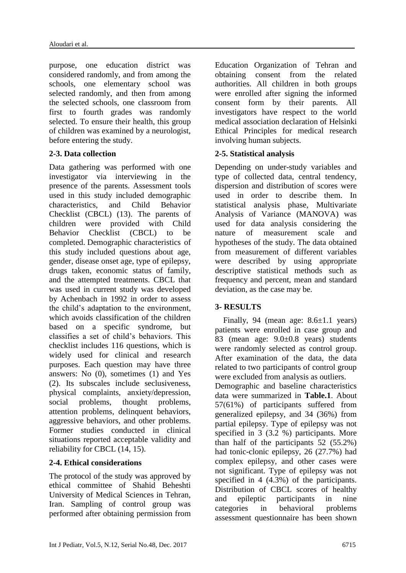purpose, one education district was considered randomly, and from among the schools, one elementary school was selected randomly, and then from among the selected schools, one classroom from first to fourth grades was randomly selected. To ensure their health, this group of children was examined by a neurologist, before entering the study.

### **2-3. Data collection**

Data gathering was performed with one investigator via interviewing in the presence of the parents. Assessment tools used in this study included demographic characteristics, and Child Behavior Checklist (CBCL) [\(13\)](#page-6-2). The parents of children were provided with Child Behavior Checklist (CBCL) to be completed. Demographic characteristics of this study included questions about age, gender, disease onset age, type of epilepsy, drugs taken, economic status of family, and the attempted treatments. CBCL that was used in current study was developed by Achenbach in 1992 in order to assess the child's adaptation to the environment, which avoids classification of the children based on a specific syndrome, but classifies a set of child's behaviors. This checklist includes 116 questions, which is widely used for clinical and research purposes. Each question may have three answers: No (0), sometimes (1) and Yes (2). Its subscales include seclusiveness, physical complaints, anxiety/depression, social problems, thought problems, attention problems, delinquent behaviors, aggressive behaviors, and other problems. Former studies conducted in clinical situations reported acceptable validity and reliability for CBCL [\(14,](#page-6-3) [15\)](#page-6-4).

# **2-4. Ethical considerations**

The protocol of the study was approved by ethical committee of Shahid Beheshti University of Medical Sciences in Tehran, Iran. Sampling of control group was performed after obtaining permission from Education Organization of Tehran and obtaining consent from the related authorities. All children in both groups were enrolled after signing the informed consent form by their parents. All investigators have respect to the world medical association declaration of Helsinki Ethical Principles for medical research involving human subjects.

# **2-5. Statistical analysis**

Depending on under-study variables and type of collected data, central tendency, dispersion and distribution of scores were used in order to describe them. In statistical analysis phase, Multivariate Analysis of Variance (MANOVA) was used for data analysis considering the nature of measurement scale and hypotheses of the study. The data obtained from measurement of different variables were described by using appropriate descriptive statistical methods such as frequency and percent, mean and standard deviation, as the case may be.

# **3- RESULTS**

Finally, 94 (mean age:  $8.6 \pm 1.1$  years) patients were enrolled in case group and 83 (mean age: 9.0±0.8 years) students were randomly selected as control group. After examination of the data, the data related to two participants of control group were excluded from analysis as outliers. Demographic and baseline characteristics data were summarized in **Table.1**. About 57(61%) of participants suffered from

generalized epilepsy, and 34 (36%) from partial epilepsy. Type of epilepsy was not specified in 3 (3.2 %) participants. More than half of the participants 52 (55.2%) had tonic-clonic epilepsy, 26 (27.7%) had complex epilepsy, and other cases were not significant. Type of epilepsy was not specified in 4 (4.3%) of the participants. Distribution of CBCL scores of healthy and epileptic participants in nine categories in behavioral problems assessment questionnaire has been shown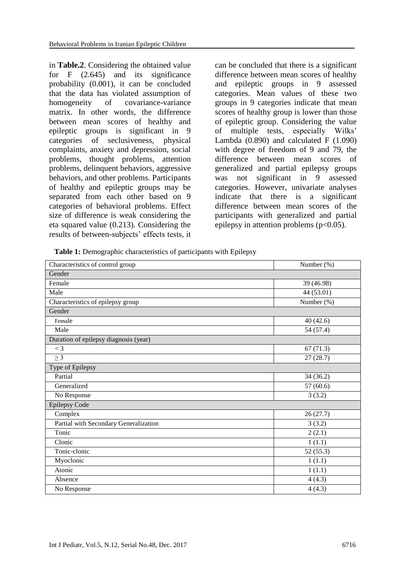in **Table.2**. Considering the obtained value for F (2.645) and its significance probability (0.001), it can be concluded that the data has violated assumption of homogeneity of covariance-variance matrix. In other words, the difference between mean scores of healthy and epileptic groups is significant in 9 categories of seclusiveness, physical complaints, anxiety and depression, social problems, thought problems, attention problems, delinquent behaviors, aggressive behaviors, and other problems. Participants of healthy and epileptic groups may be separated from each other based on 9 categories of behavioral problems. Effect size of difference is weak considering the eta squared value (0.213). Considering the results of between-subjects' effects tests, it

can be concluded that there is a significant difference between mean scores of healthy and epileptic groups in 9 assessed categories. Mean values of these two groups in 9 categories indicate that mean scores of healthy group is lower than those of epileptic group. Considering the value of multiple tests, especially Wilks' Lambda (0.890) and calculated F (1.090) with degree of freedom of 9 and 79, the difference between mean scores of generalized and partial epilepsy groups was not significant in 9 assessed categories. However, univariate analyses indicate that there is a significant difference between mean scores of the participants with generalized and partial epilepsy in attention problems  $(p<0.05)$ .

**Table 1:** Demographic characteristics of participants with Epilepsy

| Characteristics of control group      | Number (%) |
|---------------------------------------|------------|
| Gender                                |            |
| Female                                | 39 (46.98) |
| Male                                  | 44 (53.01) |
| Characteristics of epilepsy group     | Number (%) |
| Gender                                |            |
| Female                                | 40(42.6)   |
| Male                                  | 54 (57.4)  |
| Duration of epilepsy diagnosis (year) |            |
| $<$ 3                                 | 67(71.3)   |
| $\geq$ 3                              | 27(28.7)   |
| Type of Epilepsy                      |            |
| Partial                               | 34(36.2)   |
| Generalized                           | 57(60.6)   |
| No Response                           | 3(3.2)     |
| Epilepsy Code                         |            |
| Complex                               | 26(27.7)   |
| Partial with Secondary Generalization | 3(3.2)     |
| Tonic                                 | 2(2.1)     |
| Clonic                                | 1(1.1)     |
| Tonic-clonic                          | 52(55.3)   |
| Myoclonic                             | 1(1.1)     |
| Atonic                                | 1(1.1)     |
| Absence                               | 4(4.3)     |
| No Response                           | 4(4.3)     |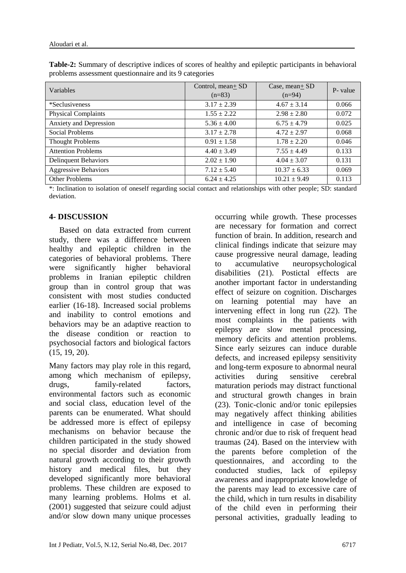| Variables                   | Control, mean+ SD<br>$(n=83)$ | Case, mean + $SD$<br>$(n=94)$ | P- value |
|-----------------------------|-------------------------------|-------------------------------|----------|
| *Seclusiveness              | $3.17 \pm 2.39$               | $4.67 \pm 3.14$               | 0.066    |
| <b>Physical Complaints</b>  | $1.55 \pm 2.22$               | $2.98 \pm 2.80$               | 0.072    |
| Anxiety and Depression      | $5.36 \pm 4.00$               | $6.75 \pm 4.79$               | 0.025    |
| Social Problems             | $3.17 \pm 2.78$               | $4.72 \pm 2.97$               | 0.068    |
| <b>Thought Problems</b>     | $0.91 \pm 1.58$               | $1.78 \pm 2.20$               | 0.046    |
| <b>Attention Problems</b>   | $4.40 \pm 3.49$               | $7.55 \pm 4.49$               | 0.133    |
| <b>Delinquent Behaviors</b> | $2.02 \pm 1.90$               | $4.04 \pm 3.07$               | 0.131    |
| <b>Aggressive Behaviors</b> | $7.12 \pm 5.40$               | $10.37 \pm 6.33$              | 0.069    |
| <b>Other Problems</b>       | $6.24 \pm 4.25$               | $10.21 \pm 9.49$              | 0.113    |

**Table-2:** Summary of descriptive indices of scores of healthy and epileptic participants in behavioral problems assessment questionnaire and its 9 categories

\*: Inclination to isolation of oneself regarding social contact and relationships with other people; SD: standard deviation.

### **4- DISCUSSION**

 Based on data extracted from current study, there was a difference between healthy and epileptic children in the categories of behavioral problems. There were significantly higher behavioral problems in Iranian epileptic children group than in control group that was consistent with most studies conducted earlier [\(16-18\)](#page-6-5). Increased social problems and inability to control emotions and behaviors may be an adaptive reaction to the disease condition or reaction to psychosocial factors and biological factors [\(15,](#page-6-4) [19,](#page-6-6) [20\)](#page-6-7).

Many factors may play role in this regard, among which mechanism of epilepsy, drugs, family-related factors, environmental factors such as economic and social class, education level of the parents can be enumerated. What should be addressed more is effect of epilepsy mechanisms on behavior because the children participated in the study showed no special disorder and deviation from natural growth according to their growth history and medical files, but they developed significantly more behavioral problems. These children are exposed to many learning problems. Holms et al. (2001) suggested that seizure could adjust and/or slow down many unique processes

occurring while growth. These processes are necessary for formation and correct function of brain. In addition, research and clinical findings indicate that seizure may cause progressive neural damage, leading to accumulative neuropsychological disabilities [\(21\)](#page-6-8). Postictal effects are another important factor in understanding effect of seizure on cognition. Discharges on learning potential may have an intervening effect in long run [\(22\)](#page-6-9). The most complaints in the patients with epilepsy are slow mental processing, memory deficits and attention problems. Since early seizures can induce durable defects, and increased epilepsy sensitivity and long-term exposure to abnormal neural activities during sensitive cerebral maturation periods may distract functional and structural growth changes in brain [\(23\)](#page-6-10). Tonic-clonic and/or tonic epilepsies may negatively affect thinking abilities and intelligence in case of becoming chronic and/or due to risk of frequent head traumas [\(24\)](#page-6-11). Based on the interview with the parents before completion of the questionnaires, and according to the conducted studies, lack of epilepsy awareness and inappropriate knowledge of the parents may lead to excessive care of the child, which in turn results in disability of the child even in performing their personal activities, gradually leading to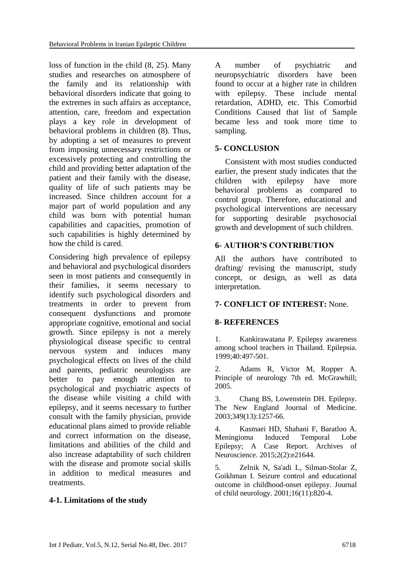loss of function in the child [\(8,](#page-6-12) [25\)](#page-6-13). Many studies and researches on atmosphere of the family and its relationship with behavioral disorders indicate that going to the extremes in such affairs as acceptance, attention, care, freedom and expectation plays a key role in development of behavioral problems in children [\(8\)](#page-6-12). Thus, by adopting a set of measures to prevent from imposing unnecessary restrictions or excessively protecting and controlling the child and providing better adaptation of the patient and their family with the disease, quality of life of such patients may be increased. Since children account for a major part of world population and any child was born with potential human capabilities and capacities, promotion of such capabilities is highly determined by how the child is cared.

Considering high prevalence of epilepsy and behavioral and psychological disorders seen in most patients and consequently in their families, it seems necessary to identify such psychological disorders and treatments in order to prevent from consequent dysfunctions and promote appropriate cognitive, emotional and social growth. Since epilepsy is not a merely physiological disease specific to central nervous system and induces many psychological effects on lives of the child and parents, pediatric neurologists are better to pay enough attention to psychological and psychiatric aspects of the disease while visiting a child with epilepsy, and it seems necessary to further consult with the family physician, provide educational plans aimed to provide reliable and correct information on the disease, limitations and abilities of the child and also increase adaptability of such children with the disease and promote social skills in addition to medical measures and treatments.

#### **4-1. Limitations of the study**

A number of psychiatric and neuropsychiatric disorders have been found to occur at a higher rate in children with epilepsy. These include mental retardation, ADHD, etc. This Comorbid Conditions Caused that list of Sample became less and took more time to sampling.

#### **5- CONCLUSION**

 Consistent with most studies conducted earlier, the present study indicates that the children with epilepsy have more behavioral problems as compared to control group. Therefore, educational and psychological interventions are necessary for supporting desirable psychosocial growth and development of such children.

#### **6- AUTHOR'S CONTRIBUTION**

All the authors have contributed to drafting/ revising the manuscript, study concept, or design, as well as data interpretation.

### **7- CONFLICT OF INTEREST:** None.

### **8- REFERENCES**

<span id="page-5-0"></span>1. Kankirawatana P. Epilepsy awareness among school teachers in Thailand. Epilepsia. 1999;40:497-501.

2. Adams R, Victor M, Ropper A. Principle of neurology 7th ed. McGrawhill; 2005.

3. Chang BS, Lowenstein DH. Epilepsy. The New England Journal of Medicine. 2003;349(13):1257-66.

4. Kasmaei HD, Shabani F, Baratloo A. Meningioma Induced Temporal Lobe Epilepsy; A Case Report. Archives of Neuroscience. 2015;2(2):e21644.

<span id="page-5-1"></span>5. Zelnik N, Sa'adi L, Silman-Stolar Z, Goikhman I. Seizure control and educational outcome in childhood-onset epilepsy. Journal of child neurology. 2001;16(11):820-4.